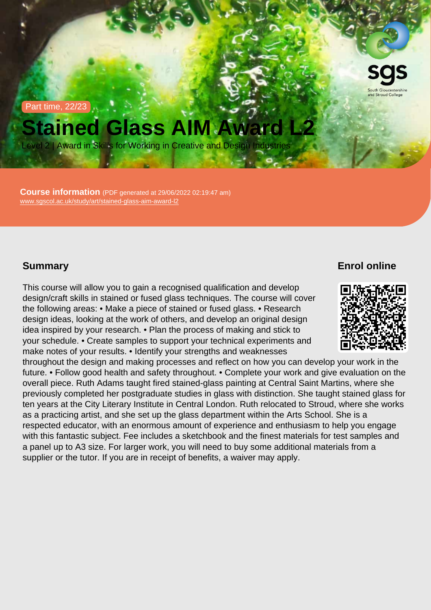Part time, 22/23

# Stained Glass AIM Award L2

Level 2 | Award in Skills for Working in Creative and Design Industries

Course information (PDF generated at 29/06/2022 02:19:47 am) [www.sgscol.ac.uk/study/art/stained-glass-aim-award-l2](https://www.sgscol.ac.uk/study/art/stained-glass-aim-award-l2)

#### **Summary**

Enrol online

This course will allow you to gain a recognised qualification and develop design/craft skills in stained or fused glass techniques. The course will cover the following areas: • Make a piece of stained or fused glass. • Research design ideas, looking at the work of others, and develop an original design idea inspired by your research. • Plan the process of making and stick to your schedule. • Create samples to support your technical experiments and make notes of your results. • Identify your strengths and weaknesses throughout the design and making processes and reflect on how you can develop your work in the future. • Follow good health and safety throughout. • Complete your work and give evaluation on the overall piece. Ruth Adams taught fired stained-glass painting at Central Saint Martins, where she previously completed her postgraduate studies in glass with distinction. She taught stained glass for ten years at the City Literary Institute in Central London. Ruth relocated to Stroud, where she works as a practicing artist, and she set up the glass department within the Arts School. She is a respected educator, with an enormous amount of experience and enthusiasm to help you engage with this fantastic subject. Fee includes a sketchbook and the finest materials for test samples and a panel up to A3 size. For larger work, you will need to buy some additional materials from a supplier or the tutor. If you are in receipt of benefits, a waiver may apply.